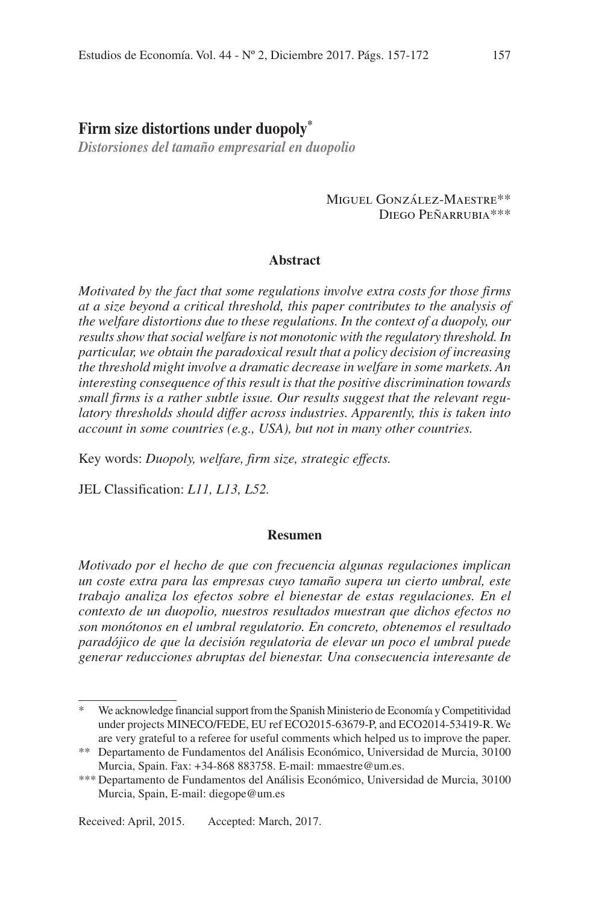*Distorsiones del tamaño empresarial en duopolio*

Miguel González-Maestre\*\* Diego Peñarrubia\*\*\*

# **Abstract**

*Motivated by the fact that some regulations involve extra costs for those firms at a size beyond a critical threshold, this paper contributes to the analysis of the welfare distortions due to these regulations. In the context of a duopoly, our results show that social welfare is not monotonic with the regulatory threshold. In particular, we obtain the paradoxical result that a policy decision of increasing the threshold might involve a dramatic decrease in welfare in some markets. An interesting consequence of this result is that the positive discrimination towards small firms is a rather subtle issue. Our results suggest that the relevant regulatory thresholds should differ across industries. Apparently, this is taken into account in some countries (e.g., USA), but not in many other countries.* 

Key words: *Duopoly, welfare, firm size, strategic effects.*

JEL Classification: *L11, L13, L52.*

# **Resumen**

*Motivado por el hecho de que con frecuencia algunas regulaciones implican un coste extra para las empresas cuyo tamaño supera un cierto umbral, este trabajo analiza los efectos sobre el bienestar de estas regulaciones. En el contexto de un duopolio, nuestros resultados muestran que dichos efectos no son monótonos en el umbral regulatorio. En concreto, obtenemos el resultado paradójico de que la decisión regulatoria de elevar un poco el umbral puede generar reducciones abruptas del bienestar. Una consecuencia interesante de* 

We acknowledge financial support from the Spanish Ministerio de Economía y Competitividad under projects MINECO/FEDE, EU ref ECO2015-63679-P, and ECO2014-53419-R. We are very grateful to a referee for useful comments which helped us to improve the paper.

<sup>\*\*</sup> Departamento de Fundamentos del Análisis Económico, Universidad de Murcia, 30100 Murcia, Spain. Fax: +34-868 883758. E-mail: mmaestre@um.es.

<sup>\*\*\*</sup> Departamento de Fundamentos del Análisis Económico, Universidad de Murcia, 30100 Murcia, Spain, E-mail: diegope@um.es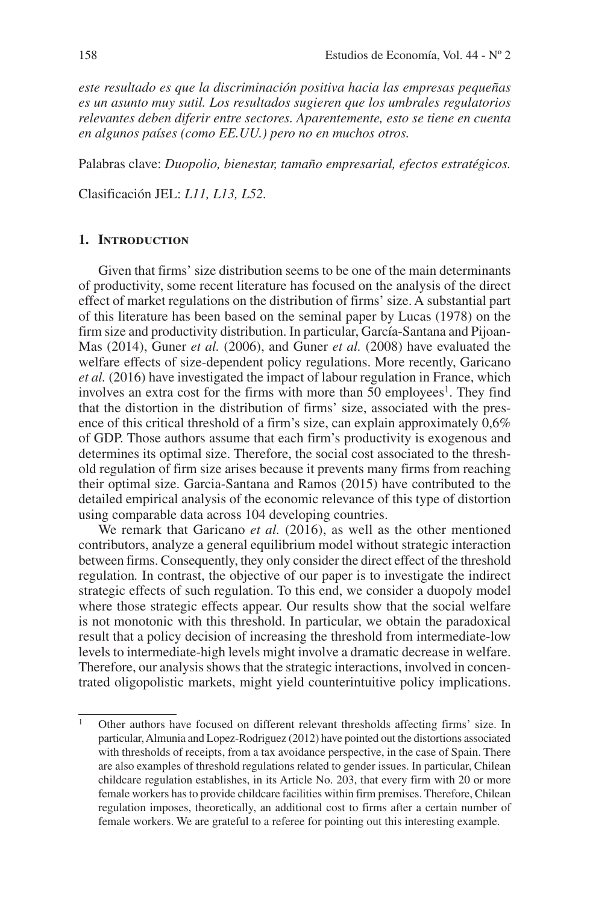*este resultado es que la discriminación positiva hacia las empresas pequeñas es un asunto muy sutil. Los resultados sugieren que los umbrales regulatorios relevantes deben diferir entre sectores. Aparentemente, esto se tiene en cuenta en algunos países (como EE.UU.) pero no en muchos otros.*

Palabras clave: *Duopolio, bienestar, tamaño empresarial, efectos estratégicos.*

Clasificación JEL: *L11, L13, L52.*

#### **1. Introduction**

Given that firms' size distribution seems to be one of the main determinants of productivity, some recent literature has focused on the analysis of the direct effect of market regulations on the distribution of firms' size. A substantial part of this literature has been based on the seminal paper by Lucas (1978) on the firm size and productivity distribution. In particular, García-Santana and Pijoan-Mas (2014), Guner *et al.* (2006), and Guner *et al.* (2008) have evaluated the welfare effects of size-dependent policy regulations. More recently, Garicano *et al.* (2016) have investigated the impact of labour regulation in France, which involves an extra cost for the firms with more than  $50$  employees<sup>1</sup>. They find that the distortion in the distribution of firms' size, associated with the presence of this critical threshold of a firm's size, can explain approximately 0,6% of GDP. Those authors assume that each firm's productivity is exogenous and determines its optimal size. Therefore, the social cost associated to the threshold regulation of firm size arises because it prevents many firms from reaching their optimal size. Garcia-Santana and Ramos (2015) have contributed to the detailed empirical analysis of the economic relevance of this type of distortion using comparable data across 104 developing countries.

We remark that Garicano *et al.* (2016), as well as the other mentioned contributors, analyze a general equilibrium model without strategic interaction between firms. Consequently, they only consider the direct effect of the threshold regulation*.* In contrast, the objective of our paper is to investigate the indirect strategic effects of such regulation. To this end, we consider a duopoly model where those strategic effects appear. Our results show that the social welfare is not monotonic with this threshold. In particular, we obtain the paradoxical result that a policy decision of increasing the threshold from intermediate-low levels to intermediate-high levels might involve a dramatic decrease in welfare. Therefore, our analysis shows that the strategic interactions, involved in concentrated oligopolistic markets, might yield counterintuitive policy implications.

<sup>&</sup>lt;sup>1</sup> Other authors have focused on different relevant thresholds affecting firms' size. In particular, Almunia and Lopez-Rodriguez (2012) have pointed out the distortions associated with thresholds of receipts, from a tax avoidance perspective, in the case of Spain. There are also examples of threshold regulations related to gender issues. In particular, Chilean childcare regulation establishes, in its Article No. 203, that every firm with 20 or more female workers has to provide childcare facilities within firm premises. Therefore, Chilean regulation imposes, theoretically, an additional cost to firms after a certain number of female workers. We are grateful to a referee for pointing out this interesting example.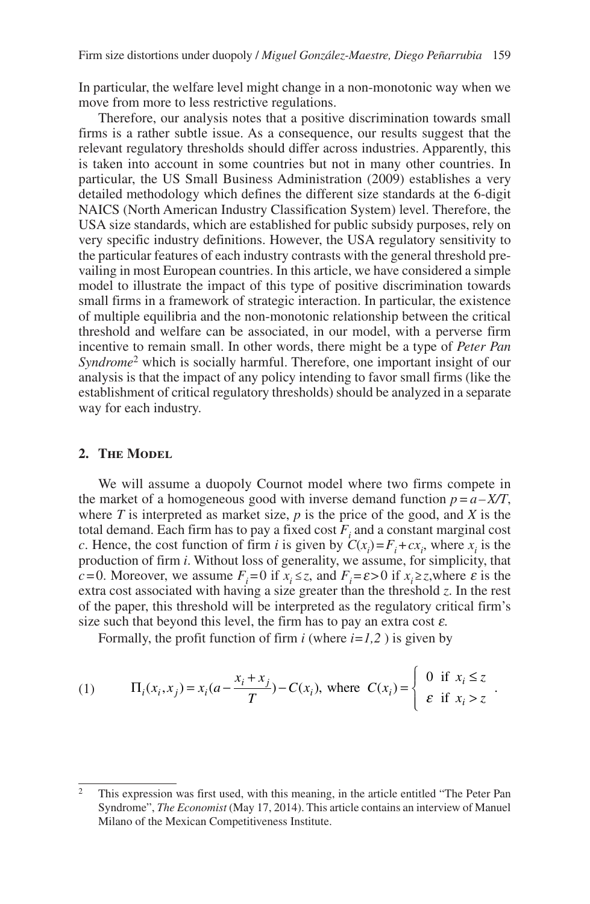In particular, the welfare level might change in a non-monotonic way when we move from more to less restrictive regulations.

Therefore, our analysis notes that a positive discrimination towards small firms is a rather subtle issue. As a consequence, our results suggest that the relevant regulatory thresholds should differ across industries. Apparently, this is taken into account in some countries but not in many other countries. In particular, the US Small Business Administration (2009) establishes a very detailed methodology which defines the different size standards at the 6-digit NAICS (North American Industry Classification System) level. Therefore, the USA size standards, which are established for public subsidy purposes, rely on very specific industry definitions. However, the USA regulatory sensitivity to the particular features of each industry contrasts with the general threshold prevailing in most European countries. In this article, we have considered a simple model to illustrate the impact of this type of positive discrimination towards small firms in a framework of strategic interaction. In particular, the existence of multiple equilibria and the non-monotonic relationship between the critical threshold and welfare can be associated, in our model, with a perverse firm incentive to remain small. In other words, there might be a type of *Peter Pan Syndrome*2 which is socially harmful. Therefore, one important insight of our analysis is that the impact of any policy intending to favor small firms (like the establishment of critical regulatory thresholds) should be analyzed in a separate way for each industry.

# **2. The Model**

We will assume a duopoly Cournot model where two firms compete in the market of a homogeneous good with inverse demand function  $p = a - X/T$ , where  $T$  is interpreted as market size,  $p$  is the price of the good, and  $X$  is the total demand. Each firm has to pay a fixed cost  $F_i$  and a constant marginal cost *c*. Hence, the cost function of firm *i* is given by  $C(x_i) = F_i + cx_i$ , where  $x_i$  is the production of firm *i*. Without loss of generality, we assume, for simplicity, that *c*=0. Moreover, we assume  $F_i=0$  if  $x_i \le z$ , and  $F_i=\varepsilon>0$  if  $x_i \ge z$ , where  $\varepsilon$  is the extra cost associated with having a size greater than the threshold *z*. In the rest of the paper, this threshold will be interpreted as the regulatory critical firm's size such that beyond this level, the firm has to pay an extra cost  $\varepsilon$ .

Formally, the profit function of firm  $i$  (where  $i=1,2$ ) is given by

(1) 
$$
\Pi_i(x_i, x_j) = x_i(a - \frac{x_i + x_j}{T}) - C(x_i), \text{ where } C(x_i) = \begin{cases} 0 & \text{if } x_i \leq z \\ \varepsilon & \text{if } x_i > z \end{cases}.
$$

<sup>2</sup> This expression was first used, with this meaning, in the article entitled "The Peter Pan Syndrome", *The Economist* (May 17, 2014). This article contains an interview of Manuel Milano of the Mexican Competitiveness Institute.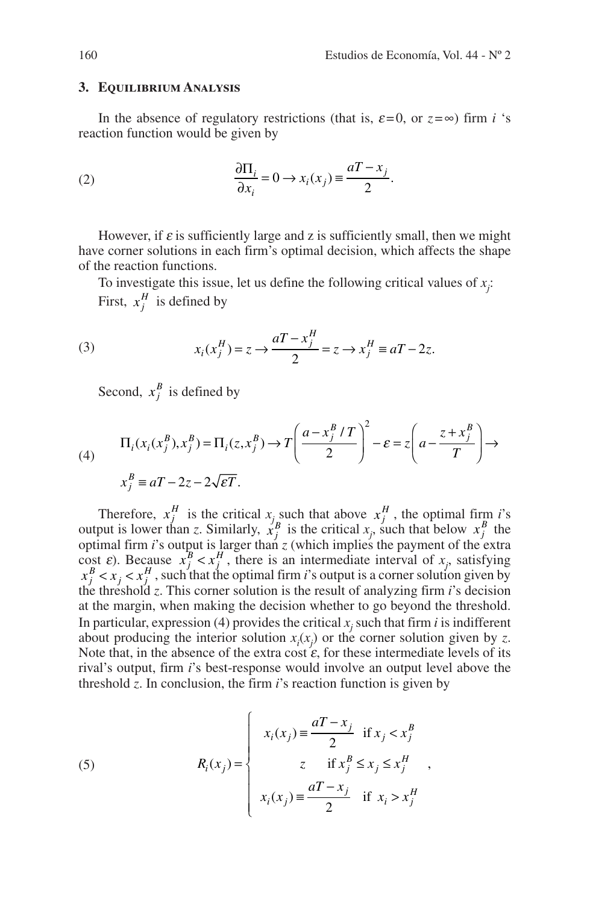#### **3. Equilibrium Analysis**

In the absence of regulatory restrictions (that is,  $\varepsilon=0$ , or  $z=\infty$ ) firm *i* 's reaction function would be given by

(2) 
$$
\frac{\partial \Pi_i}{\partial x_i} = 0 \to x_i(x_j) \equiv \frac{aT - x_j}{2}.
$$

However, if  $\varepsilon$  is sufficiently large and z is sufficiently small, then we might have corner solutions in each firm's optimal decision, which affects the shape of the reaction functions.

To investigate this issue, let us define the following critical values of  $x_j$ : First,  $x_j^H$  is defined by

(3) 
$$
x_i(x_j^H) = z \longrightarrow \frac{aT - x_j^H}{2} = z \longrightarrow x_j^H \equiv aT - 2z.
$$

Second,  $x_j^B$  is defined by

(4) 
$$
\Pi_i(x_i(x_j^B), x_j^B) = \Pi_i(z, x_j^B) \rightarrow T\left(\frac{a - x_j^B / T}{2}\right)^2 - \varepsilon = z\left(a - \frac{z + x_j^B}{T}\right) \rightarrow
$$

$$
x_j^B \equiv aT - 2z - 2\sqrt{\varepsilon T}.
$$

Therefore,  $x_j^H$  is the critical  $x_j$  such that above  $x_j^H$ , the optimal firm *i*'s output is lower than *z*. Similarly,  $x_j^B$  is the critical  $x_j$ , such that below  $x_j^B$  the optimal firm *i*'s output is larger than *z* (which implies the payment of the extra cost  $\varepsilon$ ). Because  $x_j^B < x_j^H$ , there is an intermediate interval of  $x_j$ , satisfying  $x_j^B < x_j < x_j^H$ , such that the optimal firm *i*'s output is a corner solution given by the threshold *z*. This corner solution is the result of analyzing firm *i*'s decision at the margin, when making the decision whether to go beyond the threshold. In particular, expression (4) provides the critical  $x_j$  such that firm *i* is indifferent about producing the interior solution  $x_i(x_j)$  or the corner solution given by *z*. Note that, in the absence of the extra cost  $\varepsilon$ , for these intermediate levels of its rival's output, firm *i*'s best-response would involve an output level above the threshold *z*. In conclusion, the firm *i*'s reaction function is given by

(5) 
$$
R_i(x_j) = \begin{cases} x_i(x_j) \equiv \frac{aT - x_j}{2} & \text{if } x_j < x_j^B \\ z & \text{if } x_j^B \le x_j \le x_j^H \\ x_i(x_j) \equiv \frac{aT - x_j}{2} & \text{if } x_i > x_j^H \end{cases}
$$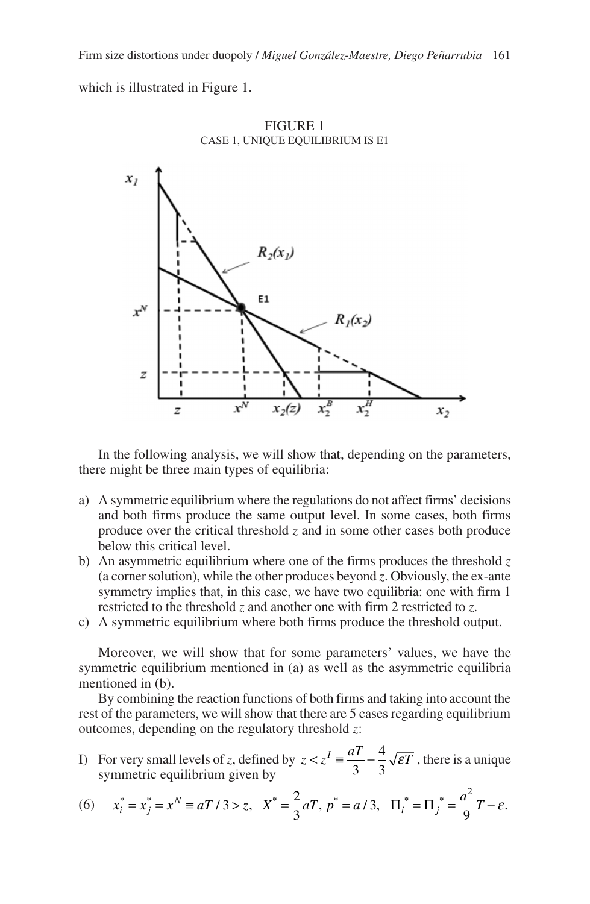which is illustrated in Figure 1.





In the following analysis, we will show that, depending on the parameters, there might be three main types of equilibria:

- a) A symmetric equilibrium where the regulations do not affect firms' decisions and both firms produce the same output level. In some cases, both firms produce over the critical threshold *z* and in some other cases both produce below this critical level.
- b) An asymmetric equilibrium where one of the firms produces the threshold  $z$ (a corner solution), while the other produces beyond *z*. Obviously, the ex-ante symmetry implies that, in this case, we have two equilibria: one with firm 1 restricted to the threshold *z* and another one with firm 2 restricted to *z*.
- c) A symmetric equilibrium where both firms produce the threshold output.

Moreover, we will show that for some parameters' values, we have the symmetric equilibrium mentioned in (a) as well as the asymmetric equilibria mentioned in (b).

By combining the reaction functions of both firms and taking into account the rest of the parameters, we will show that there are 5 cases regarding equilibrium outcomes, depending on the regulatory threshold *z*:

I) For very small levels of *z*, defined by  $z < z^I \equiv \frac{aT}{3} - \frac{4}{3} \sqrt{\epsilon T}$ , there is a unique symmetric equilibrium given by symmetric equilibrium given by

(6) 
$$
x_i^* = x_j^* = x^N \equiv aT/3 > z
$$
,  $X^* = \frac{2}{3}aT$ ,  $p^* = a/3$ ,  $\Pi_i^* = \Pi_j^* = \frac{a^2}{9}T - \varepsilon$ .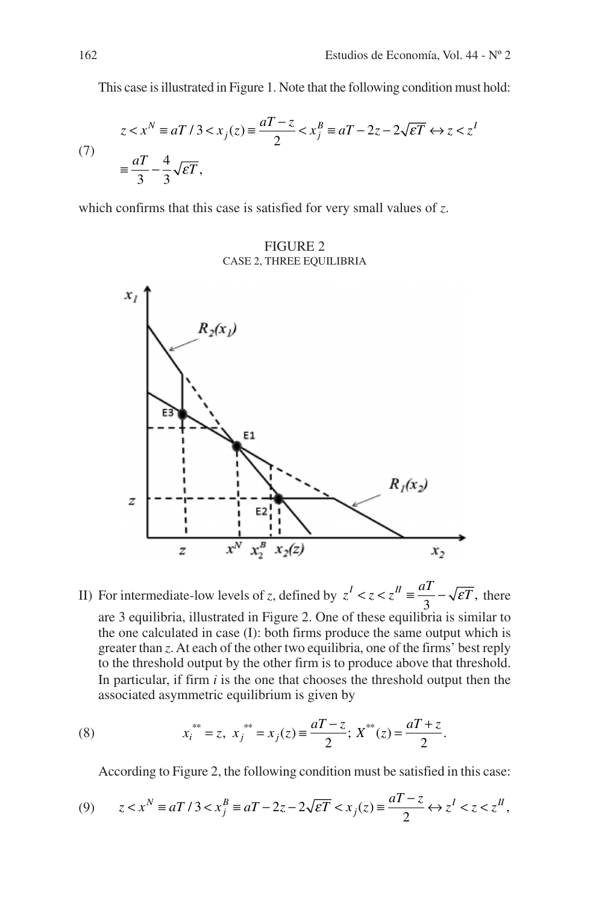This case is illustrated in Figure 1. Note that the following condition must hold:

(7)  
\n
$$
z < x^N \equiv aT/3 < x_j(z) \equiv \frac{aT - z}{2} < x_j^B \equiv aT - 2z - 2\sqrt{\varepsilon T} \leftrightarrow z < z^I
$$
\n
$$
\equiv \frac{aT}{3} - \frac{4}{3}\sqrt{\varepsilon T},
$$

which confirms that this case is satisfied for very small values of *z*.

FIGURE 2 CASE 2, THREE EQUILIBRIA



II) For intermediate-low levels of *z*, defined by  $z^I < z < z^II \equiv \frac{aT}{3} - \sqrt{\varepsilon T}$ , there are 3 equilibria, illustrated in Figure 2. One of these equilibria is similar to the one calculated in case (I): both firms produce the same output which is greater than *z*. At each of the other two equilibria, one of the firms' best reply to the threshold output by the other firm is to produce above that threshold. In particular, if firm *i* is the one that chooses the threshold output then the associated asymmetric equilibrium is given by

(8) 
$$
x_i^{**} = z, \ x_j^{**} = x_j(z) \equiv \frac{aT - z}{2}; \ X^{**}(z) = \frac{aT + z}{2}.
$$

According to Figure 2, the following condition must be satisfied in this case:

$$
(9) \qquad z < x^N \equiv aT \mid 3 < x_j^B \equiv aT - 2z - 2\sqrt{\varepsilon T} < x_j(z) \equiv \frac{aT - z}{2} \leftrightarrow z^I < z < z^H,
$$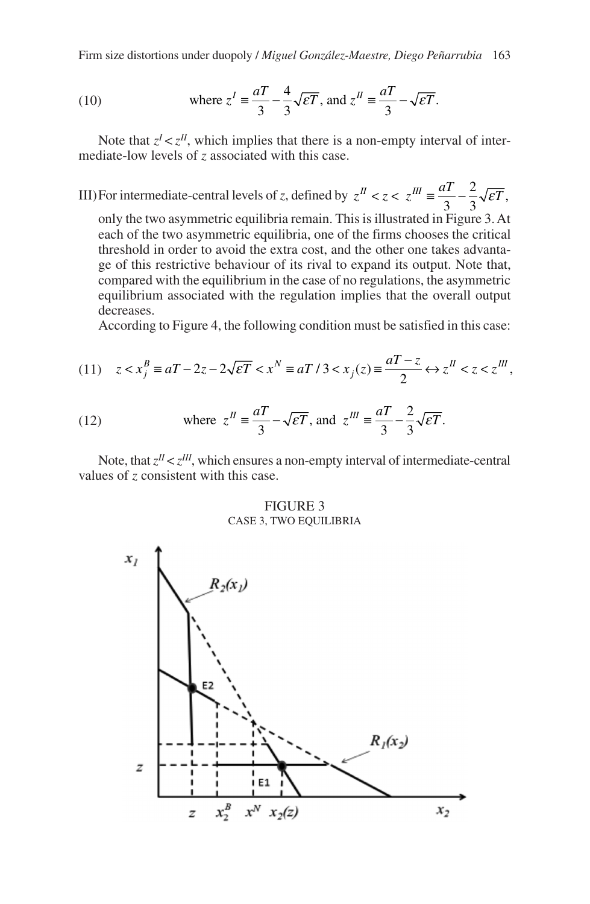(10) where 
$$
z^I = \frac{aT}{3} - \frac{4}{3}\sqrt{\varepsilon T}
$$
, and  $z^I = \frac{aT}{3} - \sqrt{\varepsilon T}$ .

Note that  $z<sub>i</sub> < z<sub>II</sub>$ , which implies that there is a non-empty interval of intermediate-low levels of *z* associated with this case.

III) For intermediate-central levels of *z*, defined by  $z^{\prime\prime} < z < z^{\prime\prime\prime} \equiv \frac{aT}{3} - \frac{2}{3} \sqrt{\varepsilon T}$ ,

only the two asymmetric equilibria remain. This is illustrated in Figure 3. At each of the two asymmetric equilibria, one of the firms chooses the critical threshold in order to avoid the extra cost, and the other one takes advantage of this restrictive behaviour of its rival to expand its output. Note that, compared with the equilibrium in the case of no regulations, the asymmetric equilibrium associated with the regulation implies that the overall output decreases.

According to Figure 4, the following condition must be satisfied in this case:

$$
(11) \quad z < x_j^B \equiv aT - 2z - 2\sqrt{\varepsilon T} < x^N \equiv aT / 3 < x_j(z) \equiv \frac{aT - z}{2} \leftrightarrow z^M < z < z^M,
$$

(12) where 
$$
z^H = \frac{aT}{3} - \sqrt{\varepsilon T}
$$
, and  $z^H = \frac{aT}{3} - \frac{2}{3}\sqrt{\varepsilon T}$ .

Note, that  $z<sup>II</sup> < z<sup>III</sup>$ , which ensures a non-empty interval of intermediate-central values of *z* consistent with this case.

#### FIGURE 3 CASE 3, TWO EQUILIBRIA

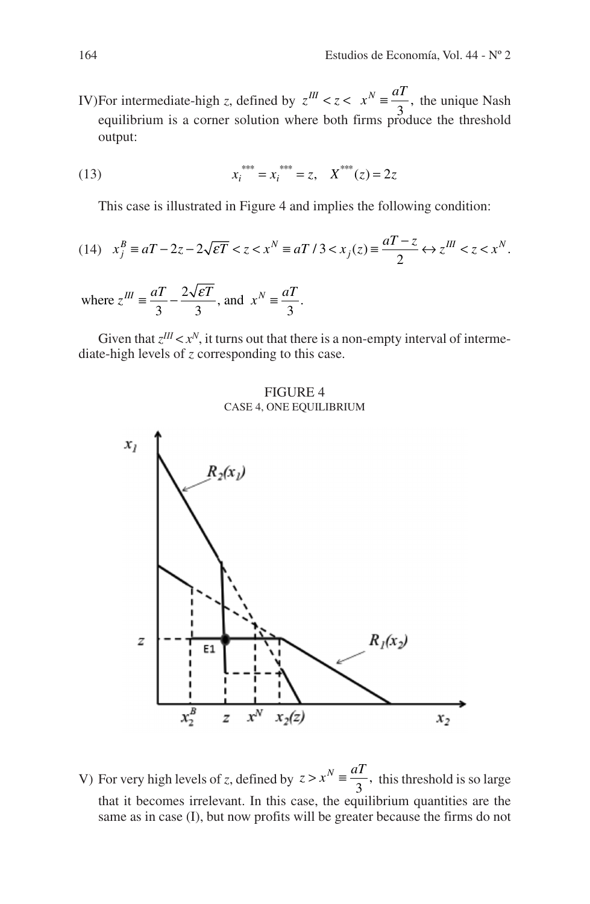IV)For intermediate-high *z*, defined by  $z^{III} < z < x^{N} \equiv \frac{aT}{3}$ , the unique Nash equilibrium is a corner solution where both firms produce the threshold output:

(13) 
$$
x_i^{***} = x_i^{***} = z, \quad X^{***}(z) = 2z
$$

This case is illustrated in Figure 4 and implies the following condition:

$$
(14) \quad x_j^B \equiv aT - 2z - 2\sqrt{\varepsilon T} < z < x^N \equiv aT / 3 < x_j(z) \equiv \frac{aT - z}{2} \leftrightarrow z^W < z < x^N.
$$

where 
$$
z^{\prime \prime \prime} \equiv \frac{aT}{3} - \frac{2\sqrt{\varepsilon T}}{3}
$$
, and  $x^{\prime \prime} \equiv \frac{aT}{3}$ .

Given that  $z^{III} < x^N$ , it turns out that there is a non-empty interval of intermediate-high levels of *z* corresponding to this case.

# FIGURE 4 CASE 4, ONE EQUILIBRIUM



V) For very high levels of *z*, defined by  $z > x^N \equiv \frac{aT}{3}$ , this threshold is so large that it becomes irrelevant. In this case, the equilibrium quantities are the same as in case (I), but now profits will be greater because the firms do not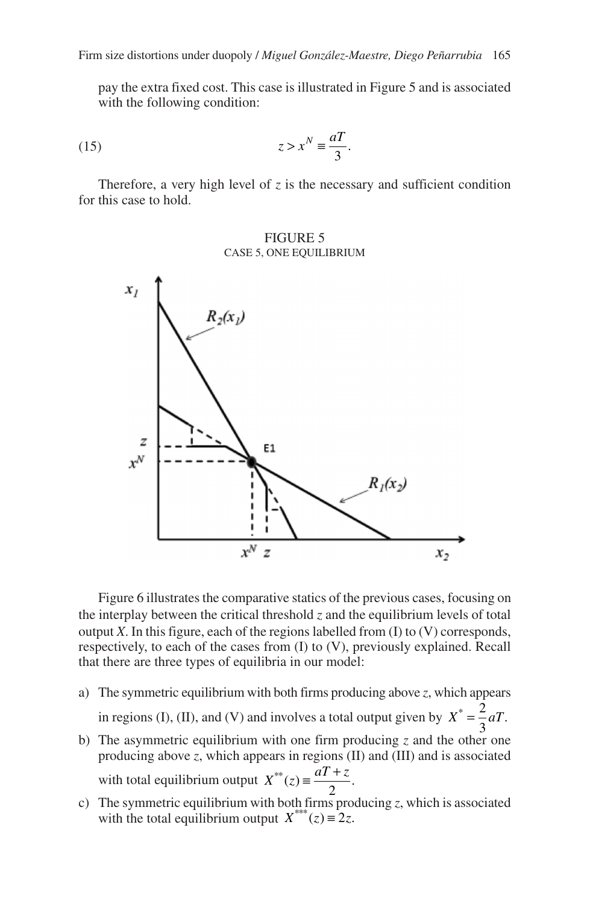pay the extra fixed cost. This case is illustrated in Figure 5 and is associated with the following condition:

$$
(15) \t\t\t z > x^N \equiv \frac{aT}{3}.
$$

Therefore, a very high level of  $z$  is the necessary and sufficient condition for this case to hold.

# FIGURE 5 CASE 5, ONE EQUILIBRIUM



Figure 6 illustrates the comparative statics of the previous cases, focusing on the interplay between the critical threshold *z* and the equilibrium levels of total output *X*. In this figure, each of the regions labelled from (I) to (V) corresponds, respectively, to each of the cases from (I) to (V), previously explained. Recall that there are three types of equilibria in our model:

- a) The symmetric equilibrium with both firms producing above *z*, which appears in regions (I), (II), and (V) and involves a total output given by  $X^* = \frac{2}{3} aT$ .
- b) The asymmetric equilibrium with one firm producing *z* and the other one producing above *z*, which appears in regions (II) and (III) and is associated with total equilibrium output  $X^{**}(z) \equiv \frac{aT + z}{2}$ .
- c) The symmetric equilibrium with both firms producing *z*, which is associated with the total equilibrium output  $X^{***}(z) \equiv 2z$ .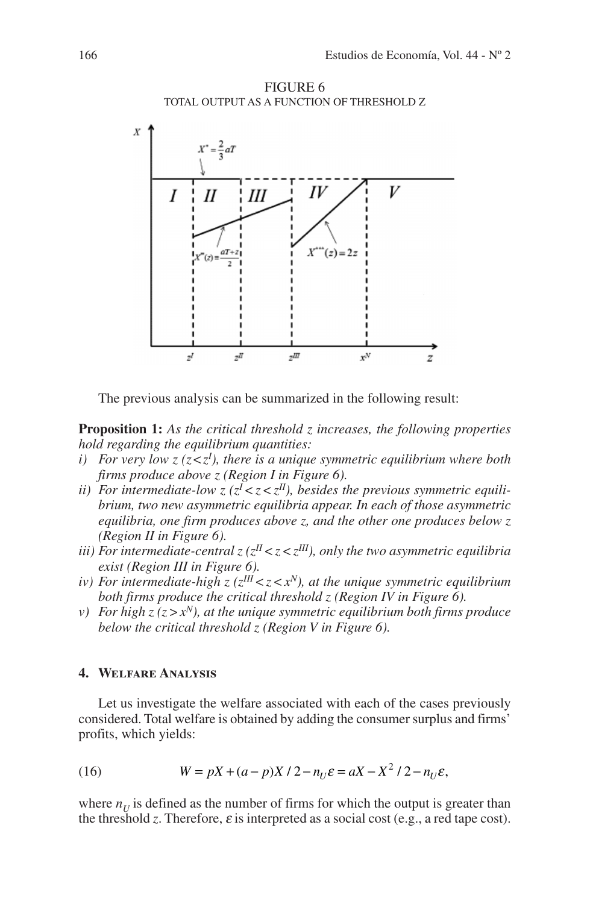

FIGURE 6 TOTAL OUTPUT AS A FUNCTION OF THRESHOLD Z

The previous analysis can be summarized in the following result:

**Proposition 1:** *As the critical threshold z increases, the following properties hold regarding the equilibrium quantities:*

- *i*) For very low  $z$  ( $z \le z^I$ ), there is a unique symmetric equilibrium where both *firms produce above z (Region I in Figure 6).*
- ii) For intermediate-low  $z(z^I < z < z^{\Pi})$ , besides the previous symmetric equili*brium, two new asymmetric equilibria appear. In each of those asymmetric equilibria, one firm produces above z, and the other one produces below z (Region II in Figure 6).*
- *iii) For intermediate-central z (* $z^{\text{II}}$  *< z <*  $z^{\text{III}}$ *), only the two asymmetric equilibria exist (Region III in Figure 6).*
- *iv*) For intermediate-high  $z \, (z^{III} \, \langle z \times x^N \rangle)$ , at the unique symmetric equilibrium *both firms produce the critical threshold z (Region IV in Figure 6).*
- *v*) *For high z* ( $z > x<sup>N</sup>$ ), at the unique symmetric equilibrium both firms produce *below the critical threshold z (Region V in Figure 6).*

# **4. Welfare Analysis**

Let us investigate the welfare associated with each of the cases previously considered. Total welfare is obtained by adding the consumer surplus and firms' profits, which yields:

(16) 
$$
W = pX + (a - p)X / 2 - n_U \varepsilon = aX - X^2 / 2 - n_U \varepsilon,
$$

where  $n_U$  is defined as the number of firms for which the output is greater than the threshold *z*. Therefore,  $\varepsilon$  is interpreted as a social cost (e.g., a red tape cost).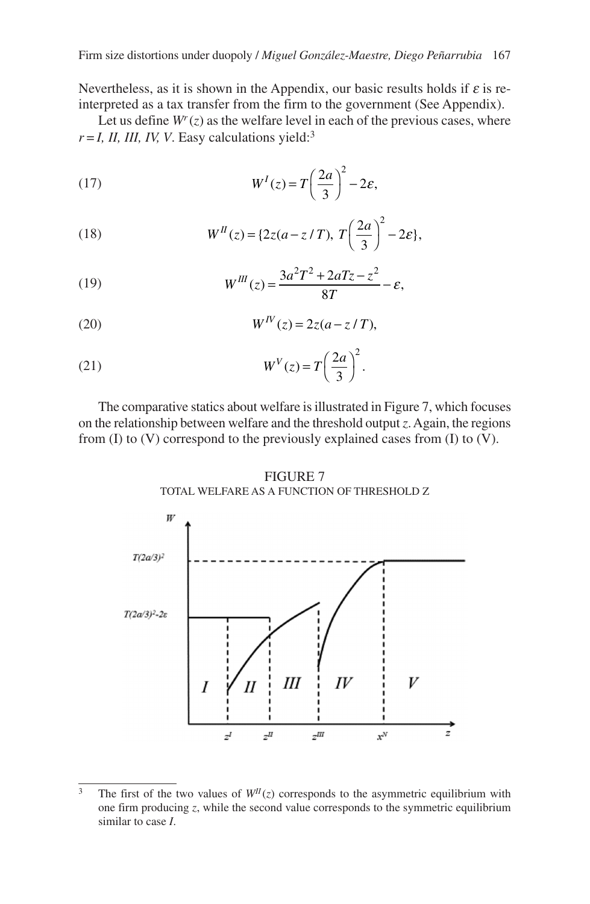Nevertheless, as it is shown in the Appendix, our basic results holds if  $\varepsilon$  is reinterpreted as a tax transfer from the firm to the government (See Appendix).

Let us define  $W^r(z)$  as the welfare level in each of the previous cases, where  $r = I$ , *II, III, IV, V*. Easy calculations yield:<sup>3</sup>

(17) 
$$
W^{I}(z) = T \left(\frac{2a}{3}\right)^{2} - 2\varepsilon,
$$

(18) 
$$
W^{II}(z) = \{2z(a-z/T), T\left(\frac{2a}{3}\right)^2 - 2\varepsilon\},\,
$$

(19) 
$$
W^{III}(z) = \frac{3a^2T^2 + 2aTz - z^2}{8T} - \varepsilon,
$$

(20) 
$$
W^{IV}(z) = 2z(a - z / T),
$$

(21) 
$$
W^V(z) = T\left(\frac{2a}{3}\right)^2.
$$

The comparative statics about welfare is illustrated in Figure 7, which focuses on the relationship between welfare and the threshold output *z*. Again, the regions from  $(I)$  to  $(V)$  correspond to the previously explained cases from  $(I)$  to  $(V)$ .

# FIGURE 7 TOTAL WELFARE AS A FUNCTION OF THRESHOLD Z



<sup>&</sup>lt;sup>3</sup> The first of the two values of  $W<sup>H</sup>(z)$  corresponds to the asymmetric equilibrium with one firm producing *z*, while the second value corresponds to the symmetric equilibrium similar to case *I*.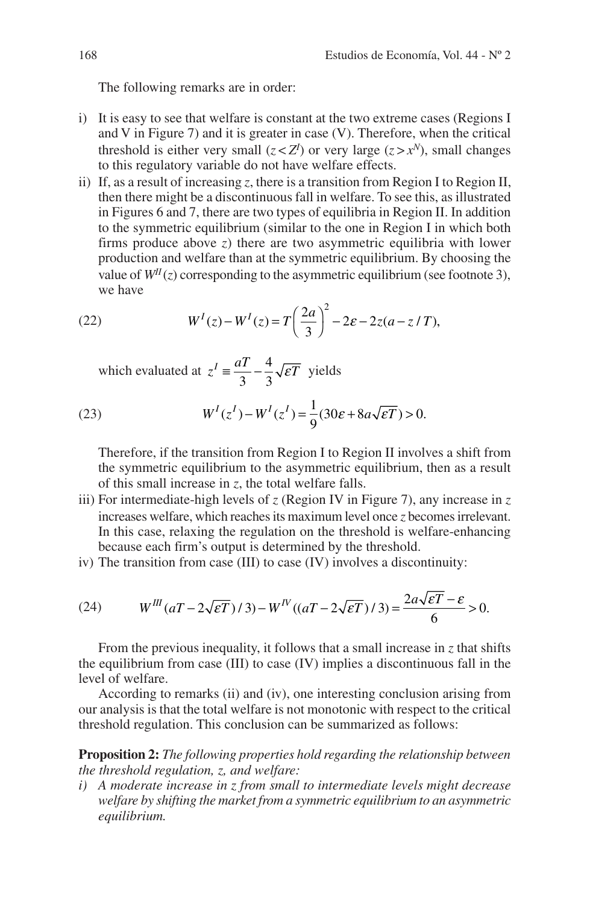The following remarks are in order:

- i) It is easy to see that welfare is constant at the two extreme cases (Regions I and V in Figure 7) and it is greater in case (V). Therefore, when the critical threshold is either very small  $(z < Z<sup>I</sup>)$  or very large  $(z > x<sup>N</sup>)$ , small changes to this regulatory variable do not have welfare effects.
- ii) If, as a result of increasing *z*, there is a transition from Region I to Region II, then there might be a discontinuous fall in welfare. To see this, as illustrated in Figures 6 and 7, there are two types of equilibria in Region II. In addition to the symmetric equilibrium (similar to the one in Region I in which both firms produce above *z*) there are two asymmetric equilibria with lower production and welfare than at the symmetric equilibrium. By choosing the value of  $W<sup>H</sup>(z)$  corresponding to the asymmetric equilibrium (see footnote 3), we have

(22) 
$$
W^{I}(z) - W^{I}(z) = T\left(\frac{2a}{3}\right)^{2} - 2\varepsilon - 2z(a - z/T),
$$

which evaluated at  $z^I = \frac{aT}{3} - \frac{4}{3} \sqrt{\varepsilon T}$  yields

(23) 
$$
W^{I}(z^{I}) - W^{I}(z^{I}) = \frac{1}{9}(30\varepsilon + 8a\sqrt{\varepsilon T}) > 0.
$$

Therefore, if the transition from Region I to Region II involves a shift from the symmetric equilibrium to the asymmetric equilibrium, then as a result of this small increase in *z*, the total welfare falls.

- iii) For intermediate-high levels of *z* (Region IV in Figure 7), any increase in *z* increases welfare, which reaches its maximum level once *z* becomes irrelevant. In this case, relaxing the regulation on the threshold is welfare-enhancing because each firm's output is determined by the threshold.
- iv) The transition from case (III) to case (IV) involves a discontinuity:

(24) 
$$
W^{III}(aT - 2\sqrt{\varepsilon T})/3 - W^{IV}((aT - 2\sqrt{\varepsilon T})/3) = \frac{2a\sqrt{\varepsilon T} - \varepsilon}{6} > 0.
$$

From the previous inequality, it follows that a small increase in *z* that shifts the equilibrium from case (III) to case (IV) implies a discontinuous fall in the level of welfare.

According to remarks (ii) and (iv), one interesting conclusion arising from our analysis is that the total welfare is not monotonic with respect to the critical threshold regulation. This conclusion can be summarized as follows:

**Proposition 2:** *The following properties hold regarding the relationship between the threshold regulation, z, and welfare:*

*i) A moderate increase in z from small to intermediate levels might decrease welfare by shifting the market from a symmetric equilibrium to an asymmetric equilibrium.*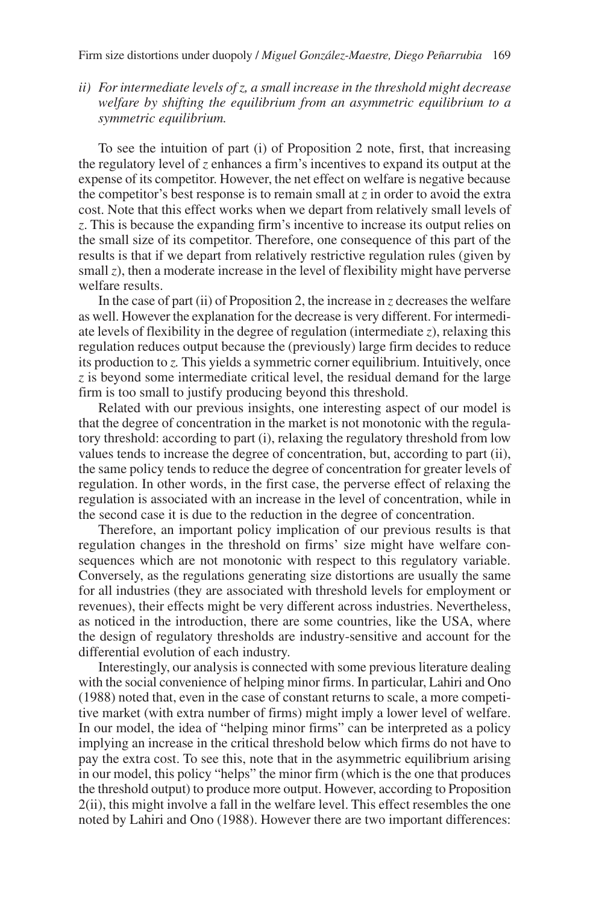*ii) For intermediate levels of z, a small increase in the threshold might decrease welfare by shifting the equilibrium from an asymmetric equilibrium to a symmetric equilibrium.*

To see the intuition of part (i) of Proposition 2 note, first, that increasing the regulatory level of *z* enhances a firm's incentives to expand its output at the expense of its competitor. However, the net effect on welfare is negative because the competitor's best response is to remain small at *z* in order to avoid the extra cost. Note that this effect works when we depart from relatively small levels of *z*. This is because the expanding firm's incentive to increase its output relies on the small size of its competitor. Therefore, one consequence of this part of the results is that if we depart from relatively restrictive regulation rules (given by small *z*), then a moderate increase in the level of flexibility might have perverse welfare results.

In the case of part (ii) of Proposition 2, the increase in *z* decreases the welfare as well. However the explanation for the decrease is very different. For intermediate levels of flexibility in the degree of regulation (intermediate *z*), relaxing this regulation reduces output because the (previously) large firm decides to reduce its production to *z.* This yields a symmetric corner equilibrium. Intuitively, once *z* is beyond some intermediate critical level, the residual demand for the large firm is too small to justify producing beyond this threshold.

Related with our previous insights, one interesting aspect of our model is that the degree of concentration in the market is not monotonic with the regulatory threshold: according to part (i), relaxing the regulatory threshold from low values tends to increase the degree of concentration, but, according to part (ii), the same policy tends to reduce the degree of concentration for greater levels of regulation. In other words, in the first case, the perverse effect of relaxing the regulation is associated with an increase in the level of concentration, while in the second case it is due to the reduction in the degree of concentration.

Therefore, an important policy implication of our previous results is that regulation changes in the threshold on firms' size might have welfare consequences which are not monotonic with respect to this regulatory variable. Conversely, as the regulations generating size distortions are usually the same for all industries (they are associated with threshold levels for employment or revenues), their effects might be very different across industries. Nevertheless, as noticed in the introduction, there are some countries, like the USA, where the design of regulatory thresholds are industry-sensitive and account for the differential evolution of each industry.

Interestingly, our analysis is connected with some previous literature dealing with the social convenience of helping minor firms. In particular, Lahiri and Ono (1988) noted that, even in the case of constant returns to scale, a more competitive market (with extra number of firms) might imply a lower level of welfare. In our model, the idea of "helping minor firms" can be interpreted as a policy implying an increase in the critical threshold below which firms do not have to pay the extra cost. To see this, note that in the asymmetric equilibrium arising in our model, this policy "helps" the minor firm (which is the one that produces the threshold output) to produce more output. However, according to Proposition 2(ii), this might involve a fall in the welfare level. This effect resembles the one noted by Lahiri and Ono (1988). However there are two important differences: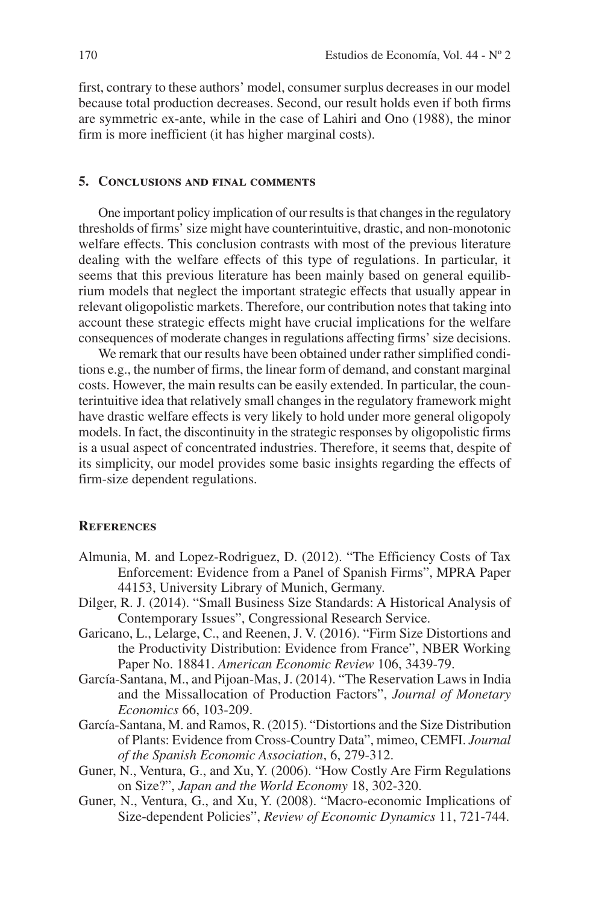first, contrary to these authors' model, consumer surplus decreases in our model because total production decreases. Second, our result holds even if both firms are symmetric ex-ante, while in the case of Lahiri and Ono (1988), the minor firm is more inefficient (it has higher marginal costs).

# **5. Conclusions and final comments**

One important policy implication of our results is that changes in the regulatory thresholds of firms' size might have counterintuitive, drastic, and non-monotonic welfare effects. This conclusion contrasts with most of the previous literature dealing with the welfare effects of this type of regulations. In particular, it seems that this previous literature has been mainly based on general equilibrium models that neglect the important strategic effects that usually appear in relevant oligopolistic markets. Therefore, our contribution notes that taking into account these strategic effects might have crucial implications for the welfare consequences of moderate changes in regulations affecting firms' size decisions.

We remark that our results have been obtained under rather simplified conditions e.g., the number of firms, the linear form of demand, and constant marginal costs. However, the main results can be easily extended. In particular, the counterintuitive idea that relatively small changes in the regulatory framework might have drastic welfare effects is very likely to hold under more general oligopoly models. In fact, the discontinuity in the strategic responses by oligopolistic firms is a usual aspect of concentrated industries. Therefore, it seems that, despite of its simplicity, our model provides some basic insights regarding the effects of firm-size dependent regulations.

# **References**

- Almunia, M. and Lopez-Rodriguez, D. (2012). "The Efficiency Costs of Tax Enforcement: Evidence from a Panel of Spanish Firms", MPRA Paper 44153, University Library of Munich, Germany.
- Dilger, R. J. (2014). "Small Business Size Standards: A Historical Analysis of Contemporary Issues", Congressional Research Service.
- Garicano, L., Lelarge, C., and Reenen, J. V. (2016). "Firm Size Distortions and the Productivity Distribution: Evidence from France", NBER Working Paper No. 18841. *American Economic Review* 106, 3439-79.
- García-Santana, M., and Pijoan-Mas, J. (2014). "The Reservation Laws in India and the Missallocation of Production Factors", *Journal of Monetary Economics* 66, 103-209.
- García-Santana, M. and Ramos, R. (2015). "Distortions and the Size Distribution of Plants: Evidence from Cross-Country Data", mimeo, CEMFI. *Journal of the Spanish Economic Association*, 6, 279-312.
- Guner, N., Ventura, G., and Xu, Y. (2006). "How Costly Are Firm Regulations on Size?", *Japan and the World Economy* 18, 302-320.
- Guner, N., Ventura, G., and Xu, Y. (2008). "Macro-economic Implications of Size-dependent Policies", *Review of Economic Dynamics* 11, 721-744.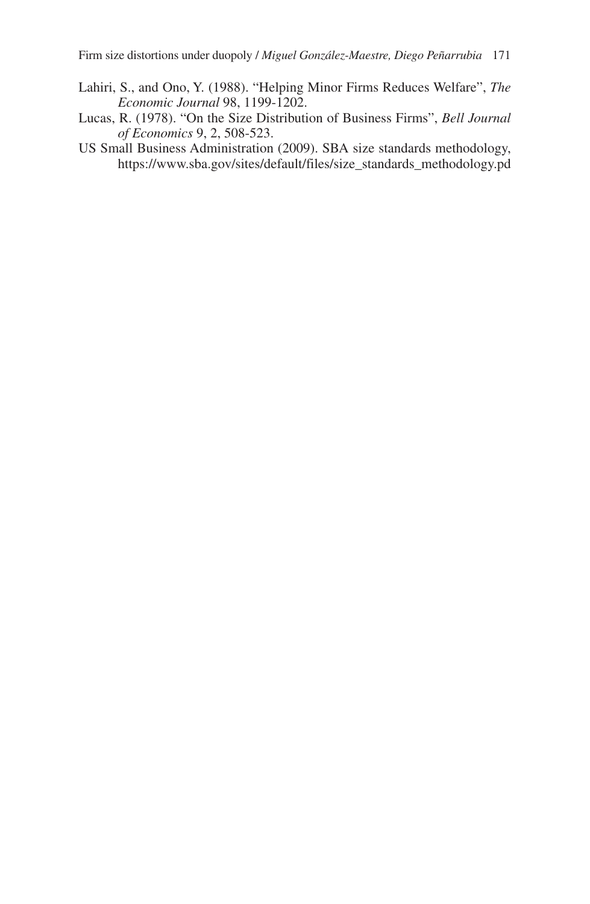- Lahiri, S., and Ono, Y. (1988). "Helping Minor Firms Reduces Welfare", *The Economic Journal* 98, 1199-1202.
- Lucas, R. (1978). "On the Size Distribution of Business Firms", *Bell Journal of Economics* 9, 2, 508-523.
- US Small Business Administration (2009). SBA size standards methodology, https://www.sba.gov/sites/default/files/size\_standards\_methodology.pd